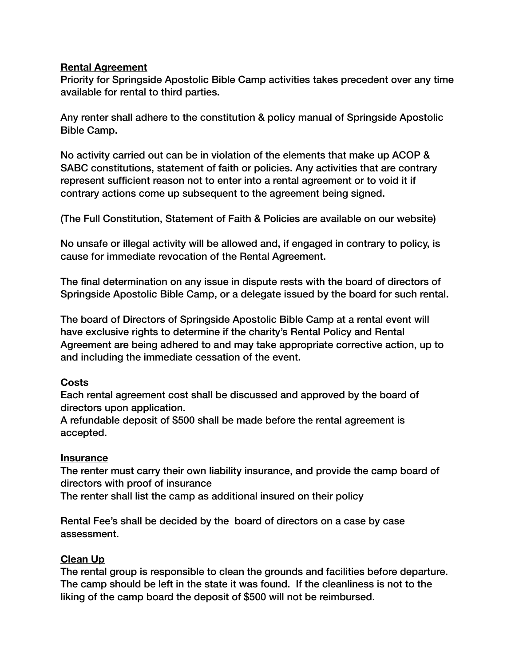### **Rental Agreement**

Priority for Springside Apostolic Bible Camp activities takes precedent over any time available for rental to third parties.

Any renter shall adhere to the constitution & policy manual of Springside Apostolic Bible Camp.

No activity carried out can be in violation of the elements that make up ACOP & SABC constitutions, statement of faith or policies. Any activities that are contrary represent sufficient reason not to enter into a rental agreement or to void it if contrary actions come up subsequent to the agreement being signed.

(The Full Constitution, Statement of Faith & Policies are available on our website)

No unsafe or illegal activity will be allowed and, if engaged in contrary to policy, is cause for immediate revocation of the Rental Agreement.

The final determination on any issue in dispute rests with the board of directors of Springside Apostolic Bible Camp, or a delegate issued by the board for such rental.

The board of Directors of Springside Apostolic Bible Camp at a rental event will have exclusive rights to determine if the charity's Rental Policy and Rental Agreement are being adhered to and may take appropriate corrective action, up to and including the immediate cessation of the event.

## **Costs**

Each rental agreement cost shall be discussed and approved by the board of directors upon application.

A refundable deposit of \$500 shall be made before the rental agreement is accepted.

## **Insurance**

The renter must carry their own liability insurance, and provide the camp board of directors with proof of insurance

The renter shall list the camp as additional insured on their policy

Rental Fee's shall be decided by the board of directors on a case by case assessment.

## **Clean Up**

The rental group is responsible to clean the grounds and facilities before departure. The camp should be left in the state it was found. If the cleanliness is not to the liking of the camp board the deposit of \$500 will not be reimbursed.